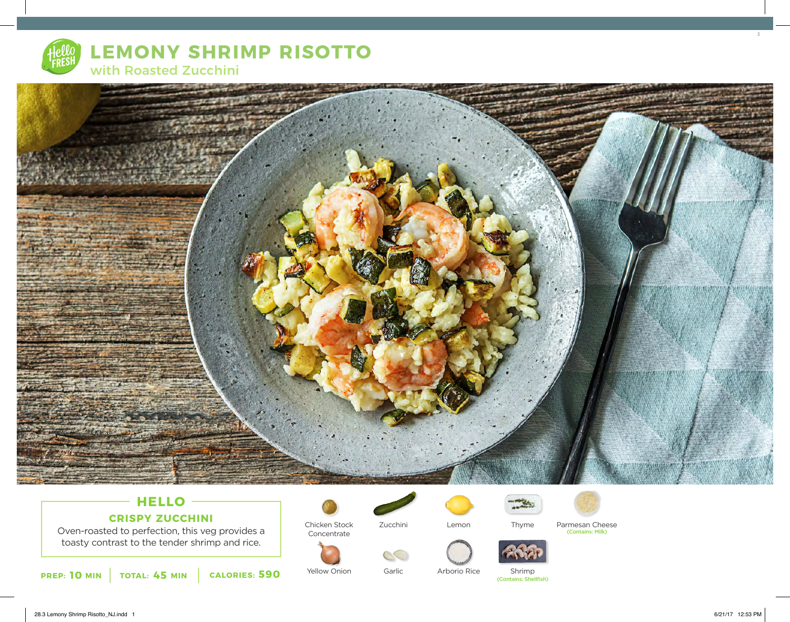

# **LEMONY SHRIMP RISOTTO** with Roasted Zucchini



## **HELLO CRISPY ZUCCHINI**

Oven-roasted to perfection, this veg provides a toasty contrast to the tender shrimp and rice.



Concentrate

Chicken Stock

Yellow Onion





Zucchini

Garlic

Arborio Rice



Lemon Thyme Parmesan Cheese<br>Contains: Milk)

Shrimp<br>(Contains: Shellfish)

Thyme

3